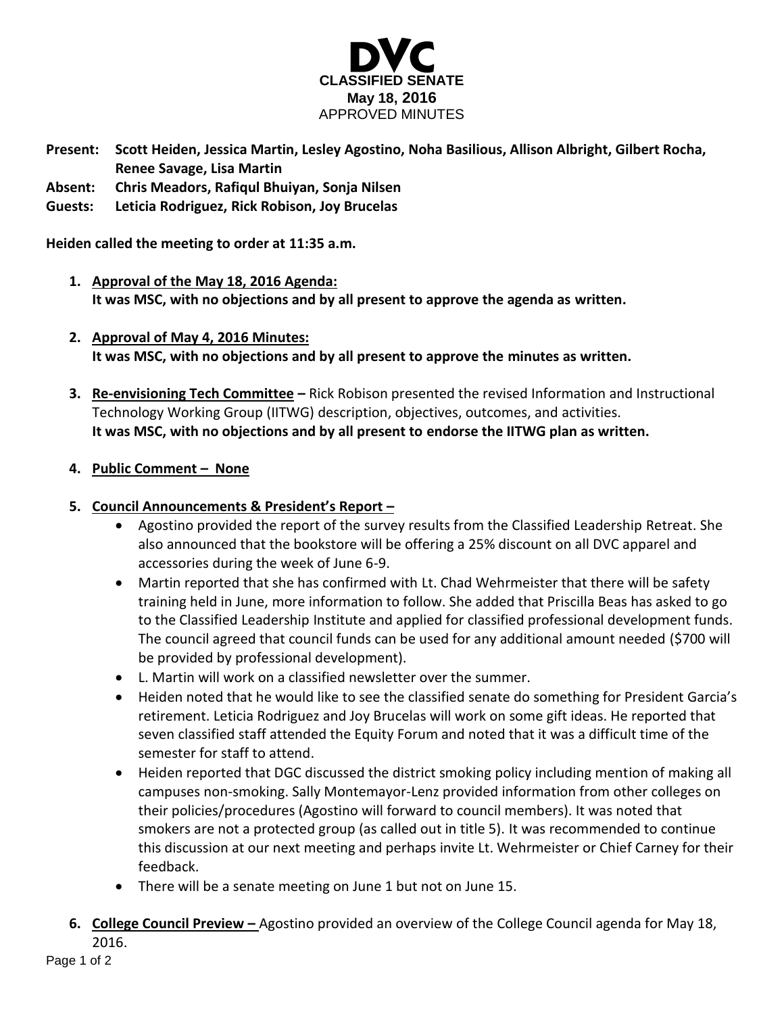

- **Present: Scott Heiden, Jessica Martin, Lesley Agostino, Noha Basilious, Allison Albright, Gilbert Rocha, Renee Savage, Lisa Martin**
- **Absent: Chris Meadors, Rafiqul Bhuiyan, Sonja Nilsen**
- **Guests: Leticia Rodriguez, Rick Robison, Joy Brucelas**

**Heiden called the meeting to order at 11:35 a.m.**

- **1. Approval of the May 18, 2016 Agenda: It was MSC, with no objections and by all present to approve the agenda as written.**
- **2. Approval of May 4, 2016 Minutes: It was MSC, with no objections and by all present to approve the minutes as written.**
- **3. Re-envisioning Tech Committee –** Rick Robison presented the revised Information and Instructional Technology Working Group (IITWG) description, objectives, outcomes, and activities. **It was MSC, with no objections and by all present to endorse the IITWG plan as written.**
- **4. Public Comment – None**
- **5. Council Announcements & President's Report –**
	- Agostino provided the report of the survey results from the Classified Leadership Retreat. She also announced that the bookstore will be offering a 25% discount on all DVC apparel and accessories during the week of June 6-9.
	- Martin reported that she has confirmed with Lt. Chad Wehrmeister that there will be safety training held in June, more information to follow. She added that Priscilla Beas has asked to go to the Classified Leadership Institute and applied for classified professional development funds. The council agreed that council funds can be used for any additional amount needed (\$700 will be provided by professional development).
	- L. Martin will work on a classified newsletter over the summer.
	- Heiden noted that he would like to see the classified senate do something for President Garcia's retirement. Leticia Rodriguez and Joy Brucelas will work on some gift ideas. He reported that seven classified staff attended the Equity Forum and noted that it was a difficult time of the semester for staff to attend.
	- Heiden reported that DGC discussed the district smoking policy including mention of making all campuses non-smoking. Sally Montemayor-Lenz provided information from other colleges on their policies/procedures (Agostino will forward to council members). It was noted that smokers are not a protected group (as called out in title 5). It was recommended to continue this discussion at our next meeting and perhaps invite Lt. Wehrmeister or Chief Carney for their feedback.
	- There will be a senate meeting on June 1 but not on June 15.
- **6. College Council Preview –** Agostino provided an overview of the College Council agenda for May 18, 2016.